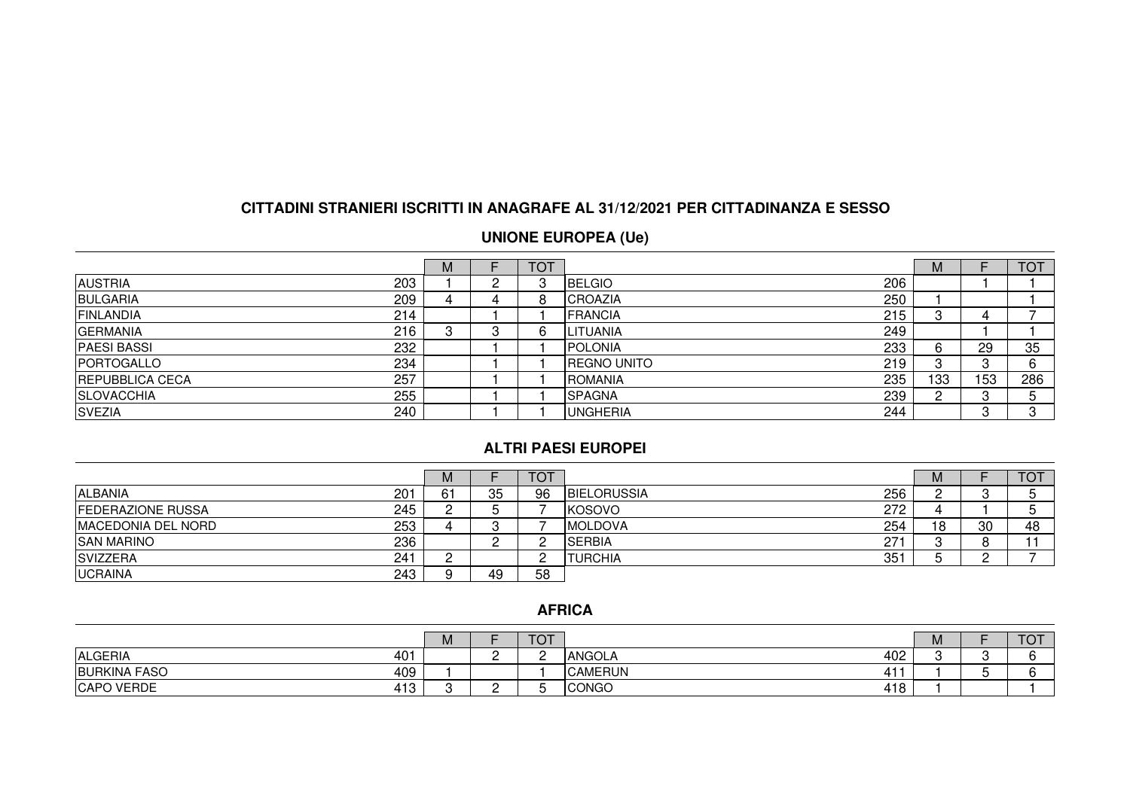# **CITTADINI STRANIERI ISCRITTI IN ANAGRAFE AL 31/12/2021 PER CITTADINANZA E SESSO**

#### **UNIONE EUROPEA (Ue)**

|                               | M |   | <b>TOT</b> |                            | М   |     | <b>TOT</b>   |
|-------------------------------|---|---|------------|----------------------------|-----|-----|--------------|
| 203<br><b>AUSTRIA</b>         |   | n | З          | 206<br><b>IBELGIO</b>      |     |     |              |
| 209<br>BULGARIA               |   |   | 8          | 250<br><b>ICROAZIA</b>     |     |     |              |
| 214<br>FINLANDIA              |   |   |            | 215<br><b>FRANCIA</b>      |     | 4   |              |
| 216<br><b>GERMANIA</b>        |   |   | 6          | 249<br><b>ILITUANIA</b>    |     |     |              |
| 232<br><b>PAESI BASSI</b>     |   |   |            | 233<br>IPOLONIA            | 6   | 29  | 35           |
| 234<br><b>PORTOGALLO</b>      |   |   |            | 219<br><b>IREGNO UNITO</b> | دت  |     | ^            |
| 257<br><b>REPUBBLICA CECA</b> |   |   |            | 235<br> ROMANIA            | 133 | 153 | 286          |
| 255<br><b>SLOVACCHIA</b>      |   |   |            | 239<br>ISPAGNA             |     |     |              |
| <b>SVEZIA</b><br>240          |   |   |            | 244<br><b>UNGHERIA</b>     |     |     | <sup>o</sup> |

#### **ALTRI PAESI EUROPEI**

|                                 | M  |                      | ТОТ |                            | M  |    | <b>TOT</b> |
|---------------------------------|----|----------------------|-----|----------------------------|----|----|------------|
| ALBANIA<br>201                  | 61 | 35                   | 96  | 256<br><b>IBIELORUSSIA</b> |    |    |            |
| 245<br><b>FEDERAZIONE RUSSA</b> |    |                      |     | 272<br><b>IKOSOVO</b>      |    |    |            |
| 253<br>IMACEDONIA DEL NORD      |    |                      |     | 254<br><b>IMOLDOVA</b>     | 18 | 30 | 48         |
| 236<br><b>SAN MARINO</b>        |    | <u>_</u><br><u>.</u> |     | 271<br><b>ISERBIA</b>      |    |    |            |
| 241<br>SVIZZERA                 |    |                      |     | 351<br>TURCHIA             |    |    |            |
| <b>UCRAINA</b><br>243           |    | 49                   | 58  |                            |    |    |            |

#### **AFRICA**

|                            | M |     | ᅲᅎᆍ<br>- V F |                      | <b>M</b> | $T\cap T$<br>. J |
|----------------------------|---|-----|--------------|----------------------|----------|------------------|
| <b>ALGERIA</b><br>401      |   | . . |              | 402<br>ANGOLA        |          |                  |
| <b>BURKINA FASO</b><br>409 |   |     |              | <b>CAMERUN</b><br>41 |          |                  |
| CAPO VERDE<br>413          |   | ∽   |              | <b>CONGO</b><br>418  |          |                  |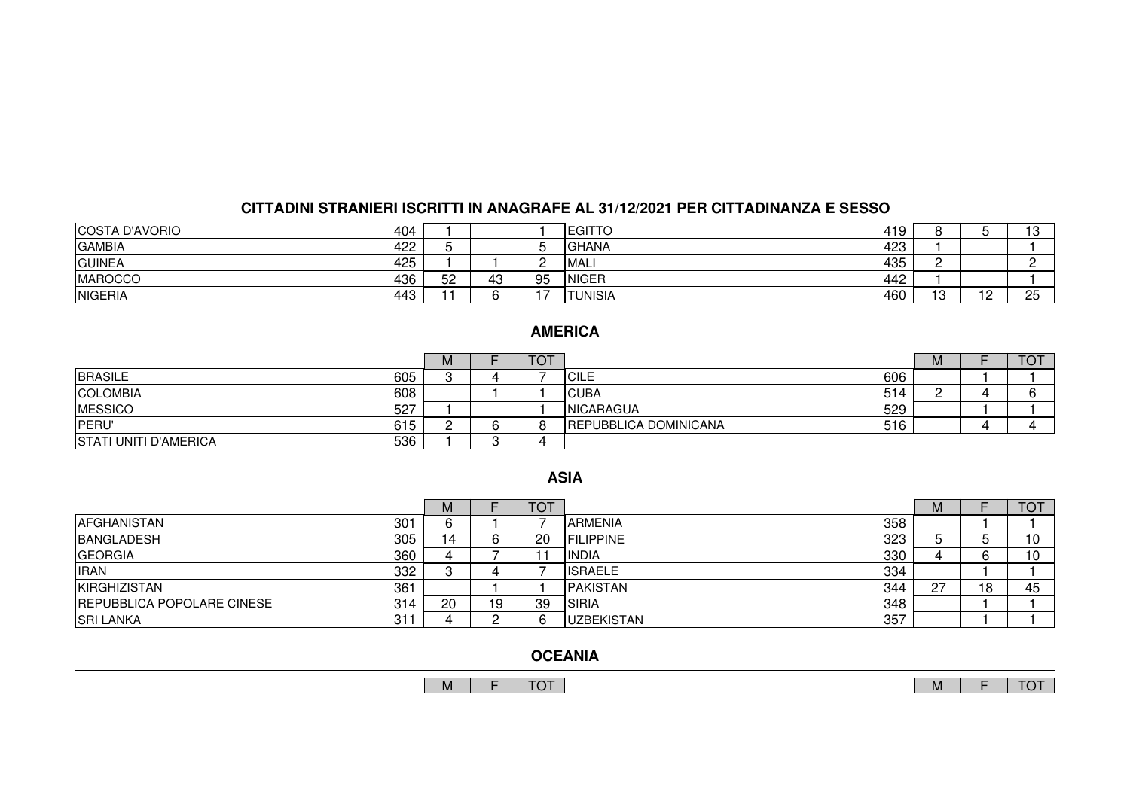## **CITTADINI STRANIERI ISCRITTI IN ANAGRAFE AL 31/12/2021 PER CITTADINANZA E SESSO**

| COSTA D'AVORIO<br>404 |    |    |    | 419<br><b>EGITTO</b>   |                              |                 | ה ו<br>ັ  |
|-----------------------|----|----|----|------------------------|------------------------------|-----------------|-----------|
| GAMBIA<br>422         |    |    |    | 423<br><b>IGHANA</b>   |                              |                 |           |
| GUINEA<br>425         |    |    |    | 435<br><b>MALI</b>     |                              |                 |           |
| 436<br><b>MAROCCO</b> | 52 | 43 | 95 | 442<br><b>INIGER</b>   |                              |                 |           |
| NIGERIA<br>443        |    |    |    | 460<br><b>ITUNISIA</b> | $\overline{a}$<br><u>، ب</u> | $\overline{10}$ | OE.<br>ںے |

# **AMERICA**

|                              |     | M        | <b>TOT</b> |                              |     | <b>IVI</b> | $T\cap T$<br>ັ |
|------------------------------|-----|----------|------------|------------------------------|-----|------------|----------------|
| BRASILE                      | 605 |          |            | <b>ICILE</b>                 | 606 |            |                |
| <b>COLOMBIA</b>              | 608 |          |            | <b>CUBA</b>                  | 514 |            |                |
| MESSICO                      | 527 |          |            | <b>INICARAGUA</b>            | 529 |            |                |
| PERU'                        | 615 | <u>_</u> |            | <b>REPUBBLICA DOMINICANA</b> | 516 |            |                |
| <b>STATI UNITI D'AMERICA</b> | 536 |          |            |                              |     |            |                |

#### **ASIA**

|                                          | M  |    | <b>TOT</b> |                          | м   |    | <b>TOT</b> |
|------------------------------------------|----|----|------------|--------------------------|-----|----|------------|
| 301<br><b>AFGHANISTAN</b>                | 6  |    |            | 358<br><b>ARMENIA</b>    |     |    |            |
| 305<br><b>BANGLADESH</b>                 | 14 | ь  | 20         | 323<br><b>IFILIPPINE</b> |     |    | ا 0        |
| 360<br><b>GEORGIA</b>                    |    |    |            | 330<br>IINDIA            |     |    | $\sqrt{ }$ |
| 332<br><b>IRAN</b>                       |    | 4  |            | 334<br><b>IISRAELE</b>   |     |    |            |
| 361<br><b>KIRGHIZISTAN</b>               |    |    |            | 344<br><b>IPAKISTAN</b>  | -27 | 18 | 45         |
| <b>REPUBBLICA POPOLARE CINESE</b><br>314 | 20 | 19 | 39         | 348<br>ISIRIA            |     |    |            |
| <b>SRI LANKA</b><br>$31 -$               |    |    |            | 357<br>IUZBEKISTAN       |     |    |            |

# **OCEANIA**

| M | ᇊᇧᅮ<br>$\sim$ | NЛ<br><b>IVI</b> |  |
|---|---------------|------------------|--|
|   |               |                  |  |